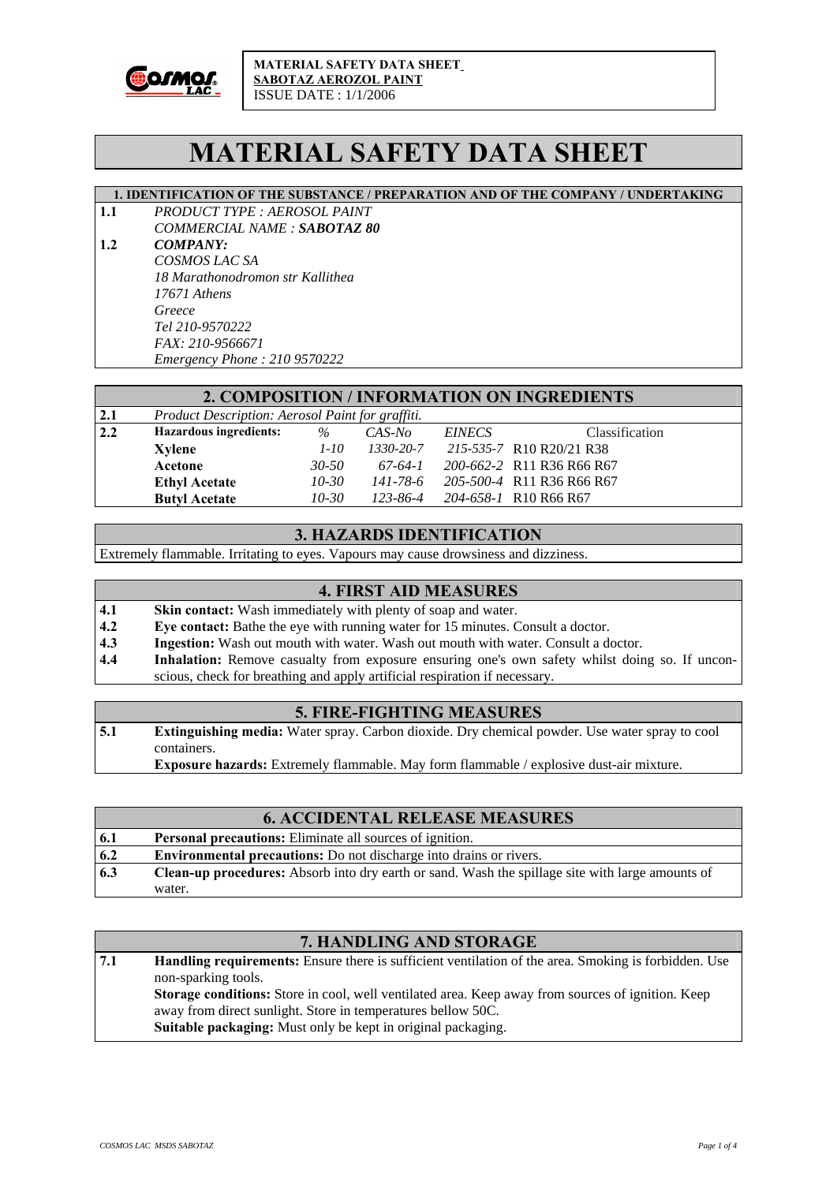

# **MATERIAL SAFETY DATA SHEET**

#### **1. IDENTIFICATION OF THE SUBSTANCE / PREPARATION AND OF THE COMPANY / UNDERTAKING**

**1.1** *PRODUCT TYPE : AEROSOL PAINT COMMERCIAL NAME : SABOTAZ 80*

**1.2** *COMPANY: COSMOS LAC SA 18 Marathonodromon str Kallithea 17671 Athens Greece Tel 210-9570222 FAX: 210-9566671 Emergency Phone : 210 9570222* 

#### **2. COMPOSITION / INFORMATION ON INGREDIENTS**

| 2.1 | Product Description: Aerosol Paint for graffiti. |           |           |               |                           |
|-----|--------------------------------------------------|-----------|-----------|---------------|---------------------------|
| 2.2 | Hazardous ingredients:                           | $\%$      | $CAS-No$  | <i>EINECS</i> | <b>Classification</b>     |
|     | Xylene                                           | $1-10$    | 1330-20-7 |               | 215-535-7 R10 R20/21 R38  |
|     | Acetone                                          | $30 - 50$ | 67-64-1   |               | 200-662-2 R11 R36 R66 R67 |
|     | <b>Ethyl Acetate</b>                             | $10 - 30$ | 141-78-6  |               | 205-500-4 R11 R36 R66 R67 |
|     | <b>Butyl Acetate</b>                             | $10 - 30$ | 123-86-4  |               | 204-658-1 R10 R66 R67     |

### **3. HAZARDS IDENTIFICATION**

Extremely flammable. Irritating to eyes. Vapours may cause drowsiness and dizziness.

#### **4. FIRST AID MEASURES**

- **4.1** Skin contact: Wash immediately with plenty of soap and water.
- **4.2 Eye contact:** Bathe the eye with running water for 15 minutes. Consult a doctor.
- **4.3** Ingestion: Wash out mouth with water. Wash out mouth with water. Consult a doctor.
- **4.4** Inhalation: Remove casualty from exposure ensuring one's own safety whilst doing so. If unconscious, check for breathing and apply artificial respiration if necessary.

#### **5. FIRE-FIGHTING MEASURES**

- **5.1 Extinguishing media:** Water spray. Carbon dioxide. Dry chemical powder. Use water spray to cool containers.
	- **Exposure hazards:** Extremely flammable. May form flammable / explosive dust-air mixture.

## **6. ACCIDENTAL RELEASE MEASURES**

| 6.1 | <b>Personal precautions:</b> Eliminate all sources of ignition.                                         |
|-----|---------------------------------------------------------------------------------------------------------|
| 6.2 | <b>Environmental precautions:</b> Do not discharge into drains or rivers.                               |
| 6.3 | <b>Clean-up procedures:</b> Absorb into dry earth or sand. Wash the spillage site with large amounts of |
|     | water.                                                                                                  |

#### **7. HANDLING AND STORAGE**

**7.1 Handling requirements:** Ensure there is sufficient ventilation of the area. Smoking is forbidden. Use non-sparking tools. **Storage conditions:** Store in cool, well ventilated area. Keep away from sources of ignition. Keep away from direct sunlight. Store in temperatures bellow 50C. **Suitable packaging:** Must only be kept in original packaging.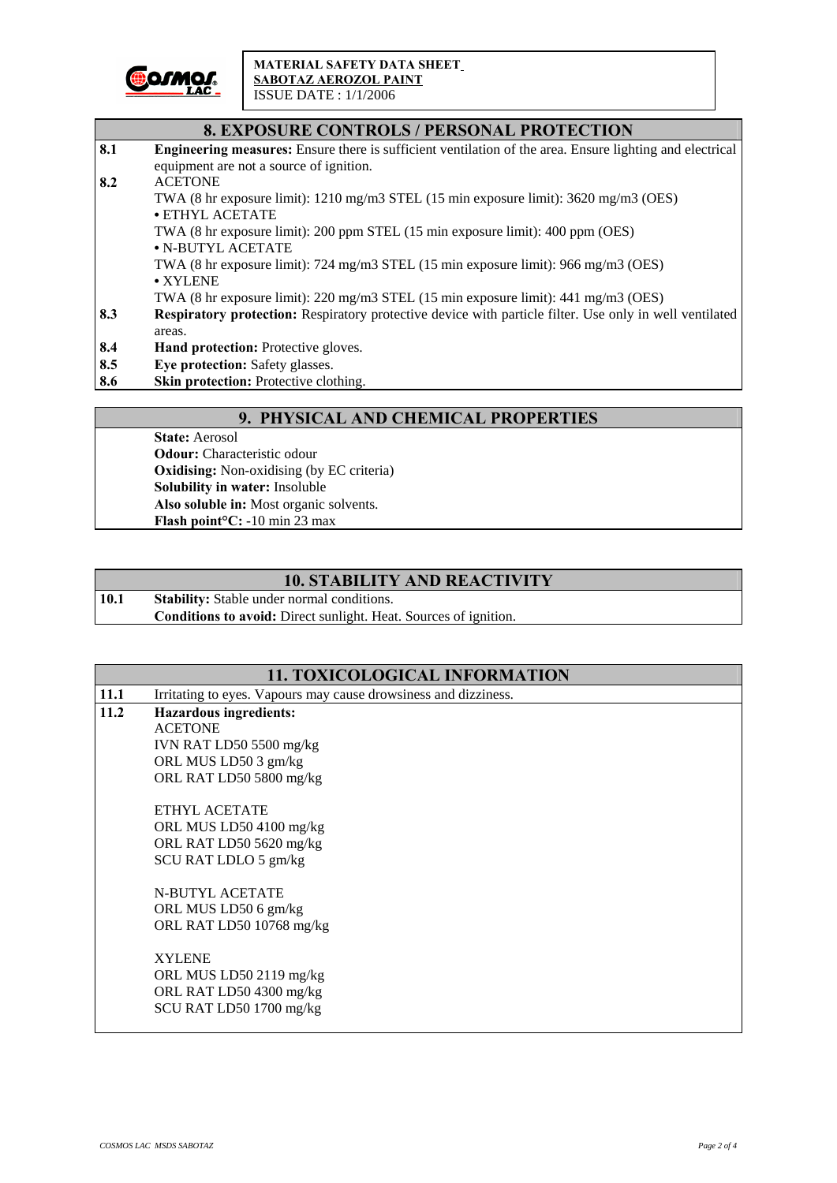

|     | <b>8. EXPOSURE CONTROLS / PERSONAL PROTECTION</b>                                                               |
|-----|-----------------------------------------------------------------------------------------------------------------|
| 8.1 | <b>Engineering measures:</b> Ensure there is sufficient ventilation of the area. Ensure lighting and electrical |
|     | equipment are not a source of ignition.                                                                         |
| 8.2 | <b>ACETONE</b>                                                                                                  |
|     | TWA (8 hr exposure limit): $1210 \text{ mg/m}$ 3 STEL (15 min exposure limit): $3620 \text{ mg/m}$ 3 (OES)      |
|     | $\bullet$ ETHYL ACETATE                                                                                         |
|     | TWA (8 hr exposure limit): 200 ppm STEL (15 min exposure limit): 400 ppm (OES)                                  |
|     | • N-BUTYL ACETATE                                                                                               |
|     | TWA (8 hr exposure limit): $724 \text{ mg/m}3$ STEL (15 min exposure limit): $966 \text{ mg/m}3$ (OES)          |
|     | • XYLENE                                                                                                        |
|     | TWA (8 hr exposure limit): 220 mg/m3 STEL (15 min exposure limit): 441 mg/m3 (OES)                              |
| 8.3 | Respiratory protection: Respiratory protective device with particle filter. Use only in well ventilated         |
|     | areas.                                                                                                          |
| 8.4 | <b>Hand protection:</b> Protective gloves.                                                                      |
| 8.5 | Eye protection: Safety glasses.                                                                                 |
| 8.6 | Skin protection: Protective clothing.                                                                           |

## **9. PHYSICAL AND CHEMICAL PROPERTIES**

**State:** Aerosol **Odour:** Characteristic odour **Oxidising:** Non-oxidising (by EC criteria) **Solubility in water:** Insoluble **Also soluble in:** Most organic solvents. **Flash point°C:** -10 min 23 max

## **10. STABILITY AND REACTIVITY**

10.1 Stability: Stable under normal conditions. **Conditions to avoid:** Direct sunlight. Heat. Sources of ignition.

## **11. TOXICOLOGICAL INFORMATION**

| 11.1 | Irritating to eyes. Vapours may cause drowsiness and dizziness. |  |  |
|------|-----------------------------------------------------------------|--|--|
| 11.2 | <b>Hazardous ingredients:</b>                                   |  |  |
|      | <b>ACETONE</b>                                                  |  |  |
|      | IVN RAT LD50 5500 mg/kg                                         |  |  |
|      | ORL MUS LD50 3 gm/kg                                            |  |  |
|      | ORL RAT LD50 5800 mg/kg                                         |  |  |
|      | ETHYL ACETATE                                                   |  |  |
|      | ORL MUS LD50 4100 mg/kg                                         |  |  |
|      | ORL RAT LD50 5620 mg/kg                                         |  |  |
|      | SCU RAT LDLO 5 gm/kg                                            |  |  |
|      | <b>N-BUTYL ACETATE</b>                                          |  |  |
|      | ORL MUS LD50 6 gm/kg                                            |  |  |
|      | ORL RAT LD50 10768 mg/kg                                        |  |  |
|      | <b>XYLENE</b>                                                   |  |  |
|      | ORL MUS LD50 2119 mg/kg                                         |  |  |
|      | ORL RAT LD50 4300 mg/kg                                         |  |  |
|      | SCU RAT LD50 1700 mg/kg                                         |  |  |
|      |                                                                 |  |  |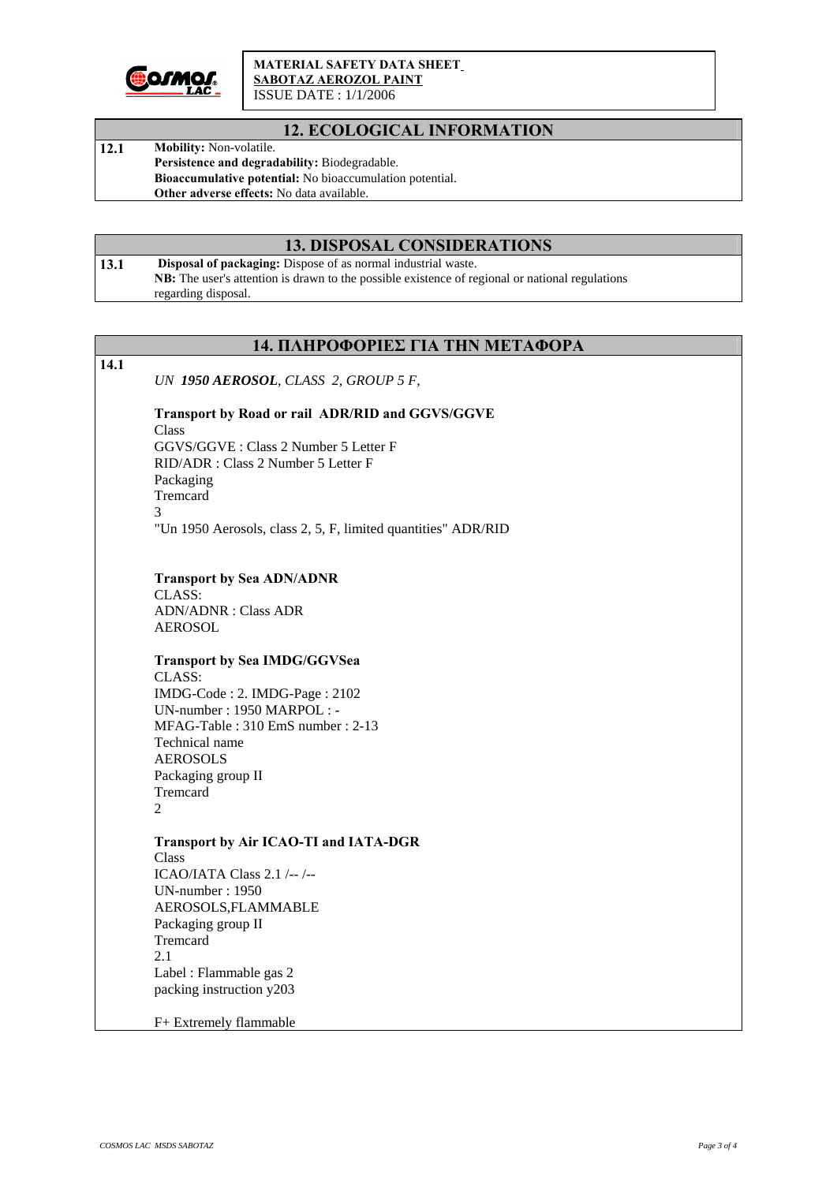

#### **MATERIAL SAFETY DATA SHEET SABOTAZ AEROZOL PAINT** ISSUE DATE : 1/1/2006

## **12. ECOLOGICAL INFORMATION**

12.1 Mobility: Non-volatile. **Persistence and degradability:** Biodegradable. **Bioaccumulative potential:** No bioaccumulation potential. **Other adverse effects:** No data available.

## **13. DISPOSAL CONSIDERATIONS**

13.1 **Disposal of packaging:** Dispose of as normal industrial waste. **NB:** The user's attention is drawn to the possible existence of regional or national regulations regarding disposal.

|      | 14. ΠΛΗΡΟΦΟΡΙΕΣ ΓΙΑ ΤΗΝ ΜΕΤΑΦΟΡΑ                              |
|------|---------------------------------------------------------------|
| 14.1 |                                                               |
|      | UN 1950 AEROSOL, CLASS 2, GROUP 5 F,                          |
|      |                                                               |
|      | Transport by Road or rail ADR/RID and GGVS/GGVE               |
|      | Class<br>GGVS/GGVE: Class 2 Number 5 Letter F                 |
|      | RID/ADR: Class 2 Number 5 Letter F                            |
|      | Packaging                                                     |
|      | Tremcard                                                      |
|      | 3                                                             |
|      | "Un 1950 Aerosols, class 2, 5, F, limited quantities" ADR/RID |
|      |                                                               |
|      |                                                               |
|      | <b>Transport by Sea ADN/ADNR</b>                              |
|      | CLASS:<br><b>ADN/ADNR</b> : Class ADR                         |
|      | <b>AEROSOL</b>                                                |
|      |                                                               |
|      | <b>Transport by Sea IMDG/GGVSea</b>                           |
|      | CLASS:                                                        |
|      | IMDG-Code: 2. IMDG-Page: 2102                                 |
|      | UN-number: 1950 MARPOL: -                                     |
|      | MFAG-Table: 310 EmS number: 2-13                              |
|      | Technical name                                                |
|      | <b>AEROSOLS</b>                                               |
|      | Packaging group II                                            |
|      | Tremcard                                                      |
|      | 2                                                             |
|      | <b>Transport by Air ICAO-TI and IATA-DGR</b>                  |
|      | Class                                                         |
|      | ICAO/IATA Class 2.1 /--/--                                    |
|      | UN-number: 1950                                               |
|      | AEROSOLS, FLAMMABLE                                           |
|      | Packaging group II                                            |
|      | Tremcard                                                      |
|      | 2.1                                                           |
|      | Label: Flammable gas 2                                        |
|      | packing instruction y203                                      |
|      | F+ Extremely flammable                                        |